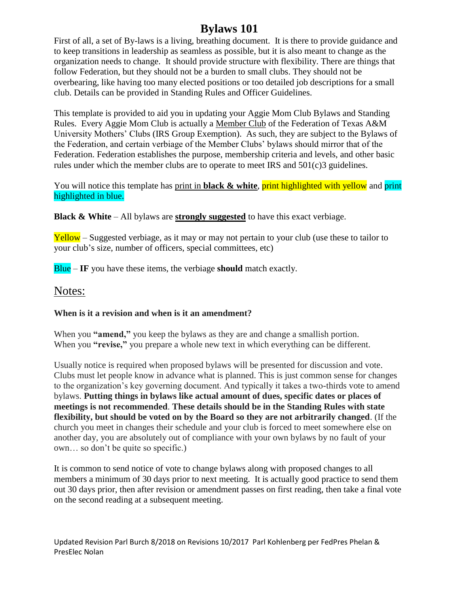# **Bylaws 101**

First of all, a set of By-laws is a living, breathing document. It is there to provide guidance and to keep transitions in leadership as seamless as possible, but it is also meant to change as the organization needs to change. It should provide structure with flexibility. There are things that follow Federation, but they should not be a burden to small clubs. They should not be overbearing, like having too many elected positions or too detailed job descriptions for a small club. Details can be provided in Standing Rules and Officer Guidelines.

This template is provided to aid you in updating your Aggie Mom Club Bylaws and Standing Rules. Every Aggie Mom Club is actually a Member Club of the Federation of Texas A&M University Mothers' Clubs (IRS Group Exemption). As such, they are subject to the Bylaws of the Federation, and certain verbiage of the Member Clubs' bylaws should mirror that of the Federation. Federation establishes the purpose, membership criteria and levels, and other basic rules under which the member clubs are to operate to meet IRS and 501(c)3 guidelines.

## You will notice this template has print in **black & white**, **print highlighted with yellow** and **print** highlighted in blue.

**Black & White** – All bylaws are **strongly suggested** to have this exact verbiage.

 $Yellow - Suggested$  verbiage, as it may or may not pertain to your club (use these to tailor to your club's size, number of officers, special committees, etc)

Blue – **IF** you have these items, the verbiage **should** match exactly.

# Notes:

## **When is it a revision and when is it an amendment?**

When you **"amend,"** you keep the bylaws as they are and change a smallish portion. When you **"revise,"** you prepare a whole new text in which everything can be different.

Usually notice is required when proposed bylaws will be presented for discussion and vote. Clubs must let people know in advance what is planned. This is just common sense for changes to the organization's key governing document. And typically it takes a two-thirds vote to amend bylaws. **Putting things in bylaws like actual amount of dues, specific dates or places of meetings is not recommended**. **These details should be in the Standing Rules with state flexibility, but should be voted on by the Board so they are not arbitrarily changed**. (If the church you meet in changes their schedule and your club is forced to meet somewhere else on another day, you are absolutely out of compliance with your own bylaws by no fault of your own… so don't be quite so specific.)

It is common to send notice of vote to change bylaws along with proposed changes to all members a minimum of 30 days prior to next meeting. It is actually good practice to send them out 30 days prior, then after revision or amendment passes on first reading, then take a final vote on the second reading at a subsequent meeting.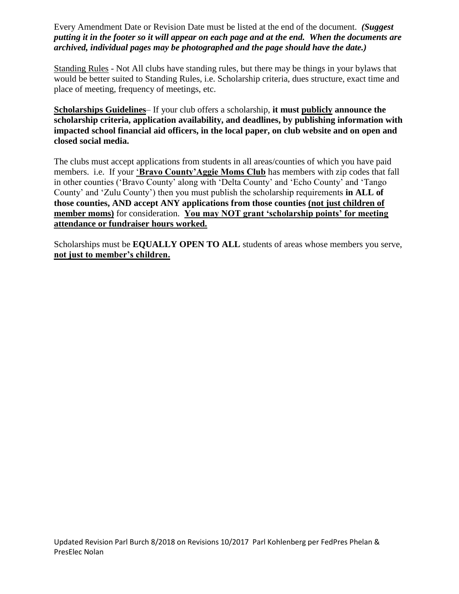Every Amendment Date or Revision Date must be listed at the end of the document. *(Suggest putting it in the footer so it will appear on each page and at the end. When the documents are archived, individual pages may be photographed and the page should have the date.)*

Standing Rules - Not All clubs have standing rules, but there may be things in your bylaws that would be better suited to Standing Rules, i.e. Scholarship criteria, dues structure, exact time and place of meeting, frequency of meetings, etc.

**Scholarships Guidelines**– If your club offers a scholarship, **it must publicly announce the scholarship criteria, application availability, and deadlines, by publishing information with impacted school financial aid officers, in the local paper, on club website and on open and closed social media.**

The clubs must accept applications from students in all areas/counties of which you have paid members. i.e. If your '**Bravo County'Aggie Moms Club** has members with zip codes that fall in other counties ('Bravo County' along with 'Delta County' and 'Echo County' and 'Tango County' and 'Zulu County') then you must publish the scholarship requirements **in ALL of those counties, AND accept ANY applications from those counties (not just children of member moms)** for consideration. **You may NOT grant 'scholarship points' for meeting attendance or fundraiser hours worked.** 

Scholarships must be **EQUALLY OPEN TO ALL** students of areas whose members you serve, **not just to member's children.**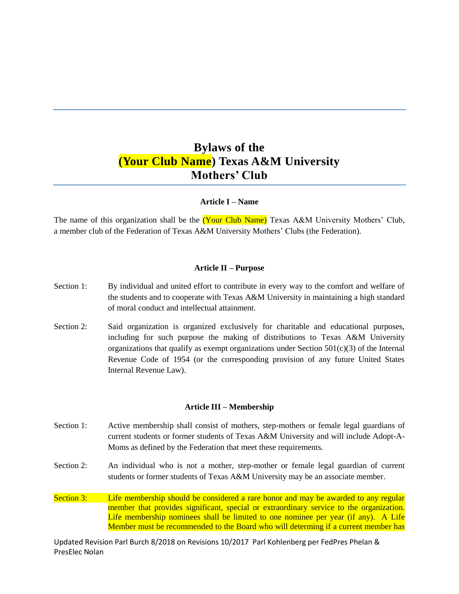# **Bylaws of the (Your Club Name) Texas A&M University Mothers' Club**

### **Article I – Name**

The name of this organization shall be the **(Your Club Name)** Texas A&M University Mothers' Club, a member club of the Federation of Texas A&M University Mothers' Clubs (the Federation).

### **Article II – Purpose**

- Section 1: By individual and united effort to contribute in every way to the comfort and welfare of the students and to cooperate with Texas A&M University in maintaining a high standard of moral conduct and intellectual attainment.
- Section 2: Said organization is organized exclusively for charitable and educational purposes, including for such purpose the making of distributions to Texas A&M University organizations that qualify as exempt organizations under Section 501(c)(3) of the Internal Revenue Code of 1954 (or the corresponding provision of any future United States Internal Revenue Law).

#### **Article III – Membership**

- Section 1: Active membership shall consist of mothers, step-mothers or female legal guardians of current students or former students of Texas A&M University and will include Adopt-A-Moms as defined by the Federation that meet these requirements.
- Section 2: An individual who is not a mother, step-mother or female legal guardian of current students or former students of Texas A&M University may be an associate member.
- Section 3: Life membership should be considered a rare honor and may be awarded to any regular member that provides significant, special or extraordinary service to the organization. Life membership nominees shall be limited to one nominee per year (if any). A Life Member must be recommended to the Board who will determing if a current member has

Updated Revision Parl Burch 8/2018 on Revisions 10/2017 Parl Kohlenberg per FedPres Phelan & PresElec Nolan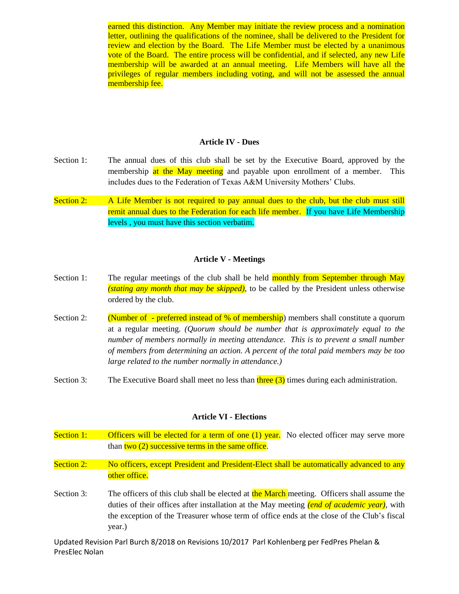earned this distinction. Any Member may initiate the review process and a nomination letter, outlining the qualifications of the nominee, shall be delivered to the President for review and election by the Board. The Life Member must be elected by a unanimous vote of the Board. The entire process will be confidential, and if selected, any new Life membership will be awarded at an annual meeting. Life Members will have all the privileges of regular members including voting, and will not be assessed the annual membership fee.

#### **Article IV - Dues**

- Section 1: The annual dues of this club shall be set by the Executive Board, approved by the membership at the May meeting and payable upon enrollment of a member. This includes dues to the Federation of Texas A&M University Mothers' Clubs.
- Section 2: A Life Member is not required to pay annual dues to the club, but the club must still remit annual dues to the Federation for each life member. If you have Life Membership levels , you must have this section verbatim.

## **Article V - Meetings**

- Section 1: The regular meetings of the club shall be held monthly from September through May *(stating any month that may be skipped)*, to be called by the President unless otherwise ordered by the club.
- Section 2: (Number of preferred instead of % of membership) members shall constitute a quorum at a regular meeting. *(Quorum should be number that is approximately equal to the number of members normally in meeting attendance. This is to prevent a small number of members from determining an action. A percent of the total paid members may be too large related to the number normally in attendance.)*
- Section 3: The Executive Board shall meet no less than three  $(3)$  times during each administration.

#### **Article VI - Elections**

Section 1: Officers will be elected for a term of one (1) year. No elected officer may serve more than  $two(2)$  successive terms in the same office. Section 2: No officers, except President and President-Elect shall be automatically advanced to any other office. Section 3: The officers of this club shall be elected at the March meeting. Officers shall assume the duties of their offices after installation at the May meeting *(end of academic year)*, with the exception of the Treasurer whose term of office ends at the close of the Club's fiscal

Updated Revision Parl Burch 8/2018 on Revisions 10/2017 Parl Kohlenberg per FedPres Phelan & PresElec Nolan

year.)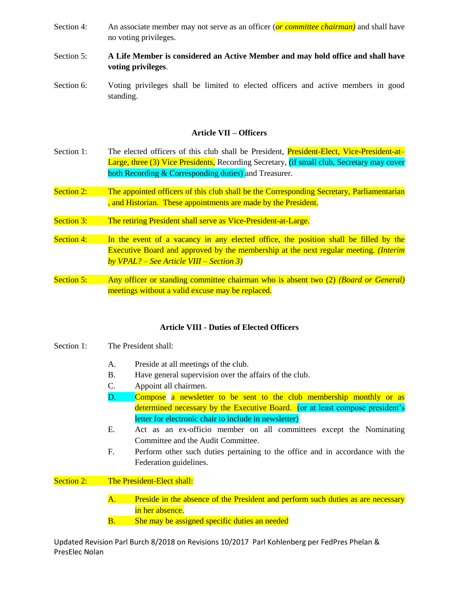- Section 4: An associate member may not serve as an officer (*or committee chairman*) and shall have no voting privileges.
- Section 5: **A Life Member is considered an Active Member and may hold office and shall have voting privileges**.
- Section 6: Voting privileges shall be limited to elected officers and active members in good standing.

## **Article VII – Officers**

- Section 1: The elected officers of this club shall be President, President-Elect, Vice-President-at-Large, three (3) Vice Presidents, Recording Secretary, (if small club, Secretary may cover both Recording & Corresponding duties) and Treasurer.
- Section 2: The appointed officers of this club shall be the Corresponding Secretary, Parliamentarian , and Historian. These appointments are made by the President.
- Section 3: The retiring President shall serve as Vice-President-at-Large.
- Section 4: In the event of a vacancy in any elected office, the position shall be filled by the Executive Board and approved by the membership at the next regular meeting. *(Interim by VPAL? – See Article VIII – Section 3)*
- Section 5: Any officer or standing committee chairman who is absent two (2) *(Board or General)* meetings without a valid excuse may be replaced.

## **Article VIII - Duties of Elected Officers**

- Section 1: The President shall:
	- A. Preside at all meetings of the club.
	- B. Have general supervision over the affairs of the club.
	- C. Appoint all chairmen.
	- D. Compose a newsletter to be sent to the club membership monthly or as determined necessary by the Executive Board. (or at least compose president's letter for electronic chair to include in newsletter)
	- E. Act as an ex-officio member on all committees except the Nominating Committee and the Audit Committee.
	- F. Perform other such duties pertaining to the office and in accordance with the Federation guidelines.

Section 2: The President-Elect shall:

- A. Preside in the absence of the President and perform such duties as are necessary in her absence.
- B. She may be assigned specific duties an needed

Updated Revision Parl Burch 8/2018 on Revisions 10/2017 Parl Kohlenberg per FedPres Phelan & PresElec Nolan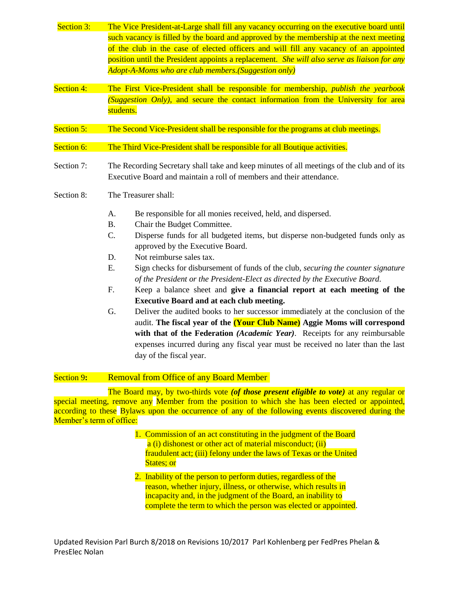- Section 3: The Vice President-at-Large shall fill any vacancy occurring on the executive board until such vacancy is filled by the board and approved by the membership at the next meeting of the club in the case of elected officers and will fill any vacancy of an appointed position until the President appoints a replacement. *She will also serve as liaison for any Adopt-A-Moms who are club members.(Suggestion only)*
- Section 4: The First Vice-President shall be responsible for membership, *publish the yearbook (Suggestion Only)*, and secure the contact information from the University for area students.
- Section 5: The Second Vice-President shall be responsible for the programs at club meetings.
- Section 6: The Third Vice-President shall be responsible for all Boutique activities.
- Section 7: The Recording Secretary shall take and keep minutes of all meetings of the club and of its Executive Board and maintain a roll of members and their attendance.
- Section 8: The Treasurer shall:
	- A. Be responsible for all monies received, held, and dispersed.
	- B. Chair the Budget Committee.
	- C. Disperse funds for all budgeted items, but disperse non-budgeted funds only as approved by the Executive Board.
	- D. Not reimburse sales tax.
	- E. Sign checks for disbursement of funds of the club, *securing the counter signature of the President or the President-Elect as directed by the Executive Board.*
	- F. Keep a balance sheet and **give a financial report at each meeting of the Executive Board and at each club meeting.**
	- G. Deliver the audited books to her successor immediately at the conclusion of the audit. **The fiscal year of the (Your Club Name) Aggie Moms will correspond with that of the Federation** *(Academic Year)*. Receipts for any reimbursable expenses incurred during any fiscal year must be received no later than the last day of the fiscal year.

## Section 9: Removal from Office of any Board Member

The Board may, by two-thirds vote *(of those present eligible to vote)* at any regular or special meeting, remove any Member from the position to which she has been elected or appointed, according to these Bylaws upon the occurrence of any of the following events discovered during the Member's term of office:

- 1. Commission of an act constituting in the judgment of the Board a (i) dishonest or other act of material misconduct; (ii) fraudulent act; (iii) felony under the laws of Texas or the United States: or
- 2. Inability of the person to perform duties, regardless of the reason, whether injury, illness, or otherwise, which results in incapacity and, in the judgment of the Board, an inability to complete the term to which the person was elected or appointed.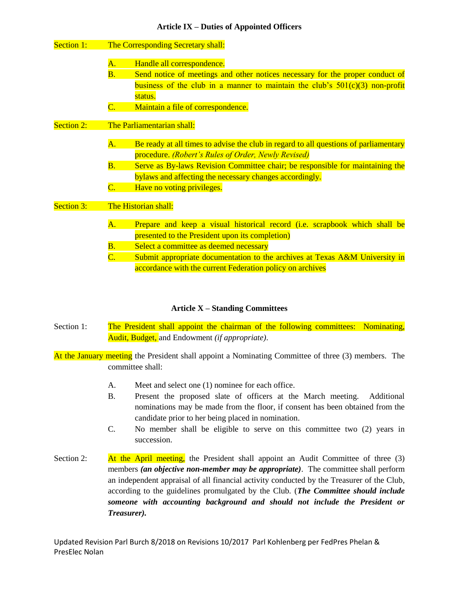| <b>Section 1:</b> |                           | The Corresponding Secretary shall:                                                   |
|-------------------|---------------------------|--------------------------------------------------------------------------------------|
|                   | A.                        | Handle all correspondence.                                                           |
|                   | B.                        | Send notice of meetings and other notices necessary for the proper conduct of        |
|                   |                           | business of the club in a manner to maintain the club's $501(c)(3)$ non-profit       |
|                   |                           | status.                                                                              |
|                   | $\overline{\mathbf{C}}$ . | Maintain a file of correspondence.                                                   |
| <b>Section 2:</b> |                           | The Parliamentarian shall:                                                           |
|                   | <b>A.</b>                 | Be ready at all times to advise the club in regard to all questions of parliamentary |
|                   |                           | procedure. (Robert's Rules of Order, Newly Revised)                                  |
|                   | B.                        | Serve as By-laws Revision Committee chair; be responsible for maintaining the        |
|                   |                           | bylaws and affecting the necessary changes accordingly.                              |
|                   | $\overline{\text{C.}}$    | Have no voting privileges.                                                           |
| <b>Section 3:</b> |                           | The Historian shall:                                                                 |
|                   | A.                        | Prepare and keep a visual historical record (i.e. scrapbook which shall be           |
|                   |                           | presented to the President upon its completion)                                      |
|                   | $\overline{\mathbf{B}}$ . | Select a committee as deemed necessary                                               |
|                   | $\overline{\mathbf{C}}$ . | Submit appropriate documentation to the archives at Texas A&M University in          |
|                   |                           | accordance with the current Federation policy on archives                            |

## **Article X – Standing Committees**

- Section 1: The President shall appoint the chairman of the following committees: Nominating, Audit, Budget, and Endowment *(if appropriate)*.
- At the January meeting the President shall appoint a Nominating Committee of three (3) members. The committee shall:
	- A. Meet and select one (1) nominee for each office.
	- B. Present the proposed slate of officers at the March meeting. Additional nominations may be made from the floor, if consent has been obtained from the candidate prior to her being placed in nomination.
	- C. No member shall be eligible to serve on this committee two (2) years in succession.
- Section 2: At the April meeting, the President shall appoint an Audit Committee of three (3) members *(an objective non-member may be appropriate)*. The committee shall perform an independent appraisal of all financial activity conducted by the Treasurer of the Club, according to the guidelines promulgated by the Club. (*The Committee should include someone with accounting background and should not include the President or Treasurer).*

Updated Revision Parl Burch 8/2018 on Revisions 10/2017 Parl Kohlenberg per FedPres Phelan & PresElec Nolan

# **Article IX – Duties of Appointed Officers**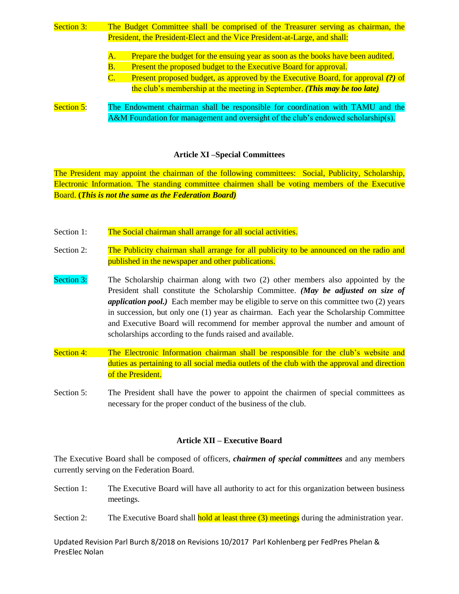- Section 3: The Budget Committee shall be comprised of the Treasurer serving as chairman, the President, the President-Elect and the Vice President-at-Large, and shall: A. Prepare the budget for the ensuing year as soon as the books have been audited. B. Present the proposed budget to the Executive Board for approval.
	- C. Present proposed budget, as approved by the Executive Board, for approval *(?)* of the club's membership at the meeting in September. *(This may be too late)*
- Section 5: The Endowment chairman shall be responsible for coordination with TAMU and the A&M Foundation for management and oversight of the club's endowed scholarship(s).

## **Article XI –Special Committees**

The President may appoint the chairman of the following committees: Social, Publicity, Scholarship, Electronic Information. The standing committee chairmen shall be voting members of the Executive Board. **(***This is not the same as the Federation Board)*

- Section 1: The Social chairman shall arrange for all social activities.
- Section 2: The Publicity chairman shall arrange for all publicity to be announced on the radio and published in the newspaper and other publications.
- Section 3: The Scholarship chairman along with two (2) other members also appointed by the President shall constitute the Scholarship Committee. *(May be adjusted on size of application pool.*) Each member may be eligible to serve on this committee two (2) years in succession, but only one (1) year as chairman. Each year the Scholarship Committee and Executive Board will recommend for member approval the number and amount of scholarships according to the funds raised and available.
- Section 4: The Electronic Information chairman shall be responsible for the club's website and duties as pertaining to all social media outlets of the club with the approval and direction of the President.
- Section 5: The President shall have the power to appoint the chairmen of special committees as necessary for the proper conduct of the business of the club.

## **Article XII – Executive Board**

The Executive Board shall be composed of officers, *chairmen of special committees* and any members currently serving on the Federation Board.

- Section 1: The Executive Board will have all authority to act for this organization between business meetings.
- Section 2: The Executive Board shall **hold at least three (3) meetings** during the administration year.

Updated Revision Parl Burch 8/2018 on Revisions 10/2017 Parl Kohlenberg per FedPres Phelan & PresElec Nolan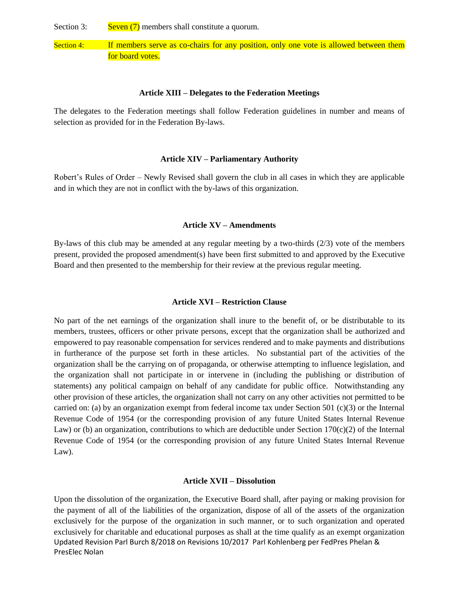Section 3: Seven  $(7)$  members shall constitute a quorum.

Section 4: If members serve as co-chairs for any position, only one vote is allowed between them for board votes.

#### **Article XIII – Delegates to the Federation Meetings**

The delegates to the Federation meetings shall follow Federation guidelines in number and means of selection as provided for in the Federation By-laws.

#### **Article XIV – Parliamentary Authority**

Robert's Rules of Order – Newly Revised shall govern the club in all cases in which they are applicable and in which they are not in conflict with the by-laws of this organization.

#### **Article XV – Amendments**

By-laws of this club may be amended at any regular meeting by a two-thirds (2/3) vote of the members present, provided the proposed amendment(s) have been first submitted to and approved by the Executive Board and then presented to the membership for their review at the previous regular meeting.

## **Article XVI – Restriction Clause**

No part of the net earnings of the organization shall inure to the benefit of, or be distributable to its members, trustees, officers or other private persons, except that the organization shall be authorized and empowered to pay reasonable compensation for services rendered and to make payments and distributions in furtherance of the purpose set forth in these articles. No substantial part of the activities of the organization shall be the carrying on of propaganda, or otherwise attempting to influence legislation, and the organization shall not participate in or intervene in (including the publishing or distribution of statements) any political campaign on behalf of any candidate for public office. Notwithstanding any other provision of these articles, the organization shall not carry on any other activities not permitted to be carried on: (a) by an organization exempt from federal income tax under Section 501 (c)(3) or the Internal Revenue Code of 1954 (or the corresponding provision of any future United States Internal Revenue Law) or (b) an organization, contributions to which are deductible under Section  $170(c)(2)$  of the Internal Revenue Code of 1954 (or the corresponding provision of any future United States Internal Revenue Law).

#### **Article XVII – Dissolution**

Updated Revision Parl Burch 8/2018 on Revisions 10/2017 Parl Kohlenberg per FedPres Phelan & PresElec Nolan Upon the dissolution of the organization, the Executive Board shall, after paying or making provision for the payment of all of the liabilities of the organization, dispose of all of the assets of the organization exclusively for the purpose of the organization in such manner, or to such organization and operated exclusively for charitable and educational purposes as shall at the time qualify as an exempt organization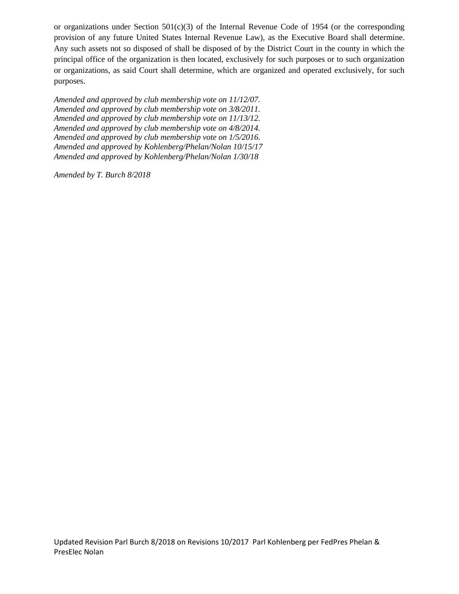or organizations under Section 501(c)(3) of the Internal Revenue Code of 1954 (or the corresponding provision of any future United States Internal Revenue Law), as the Executive Board shall determine. Any such assets not so disposed of shall be disposed of by the District Court in the county in which the principal office of the organization is then located, exclusively for such purposes or to such organization or organizations, as said Court shall determine, which are organized and operated exclusively, for such purposes.

*Amended and approved by club membership vote on 11/12/07. Amended and approved by club membership vote on 3/8/2011. Amended and approved by club membership vote on 11/13/12. Amended and approved by club membership vote on 4/8/2014. Amended and approved by club membership vote on 1/5/2016. Amended and approved by Kohlenberg/Phelan/Nolan 10/15/17 Amended and approved by Kohlenberg/Phelan/Nolan 1/30/18*

*Amended by T. Burch 8/2018*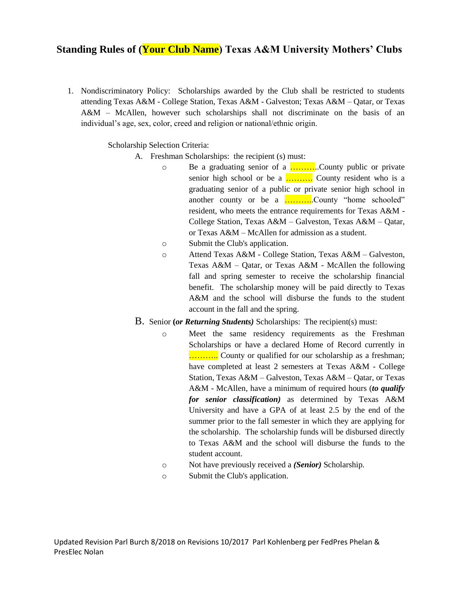# **Standing Rules of (Your Club Name) Texas A&M University Mothers' Clubs**

1. Nondiscriminatory Policy: Scholarships awarded by the Club shall be restricted to students attending Texas A&M - College Station, Texas A&M - Galveston; Texas A&M – Qatar, or Texas A&M – McAllen, however such scholarships shall not discriminate on the basis of an individual's age, sex, color, creed and religion or national/ethnic origin.

Scholarship Selection Criteria:

- A. Freshman Scholarships: the recipient (s) must:
	- o Be a graduating senior of a ...............County public or private senior high school or be a  $\ldots$  County resident who is a graduating senior of a public or private senior high school in another county or be a ..............County "home schooled" resident, who meets the entrance requirements for Texas A&M - College Station, Texas A&M – Galveston, Texas A&M – Qatar, or Texas A&M – McAllen for admission as a student.
	- o Submit the Club's application.
	- o Attend Texas A&M College Station, Texas A&M Galveston, Texas A&M – Qatar, or Texas A&M - McAllen the following fall and spring semester to receive the scholarship financial benefit. The scholarship money will be paid directly to Texas A&M and the school will disburse the funds to the student account in the fall and the spring.
- B. Senior **(***or Returning Students)* Scholarships: The recipient(s) must:
	- o Meet the same residency requirements as the Freshman Scholarships or have a declared Home of Record currently in ……….. County or qualified for our scholarship as a freshman; have completed at least 2 semesters at Texas A&M - College Station, Texas A&M – Galveston, Texas A&M – Qatar, or Texas A&M - McAllen, have a minimum of required hours (*to qualify for senior classification)* as determined by Texas A&M University and have a GPA of at least 2.5 by the end of the summer prior to the fall semester in which they are applying for the scholarship. The scholarship funds will be disbursed directly to Texas A&M and the school will disburse the funds to the student account.
	- o Not have previously received a *(Senior)* Scholarship.
	- o Submit the Club's application.